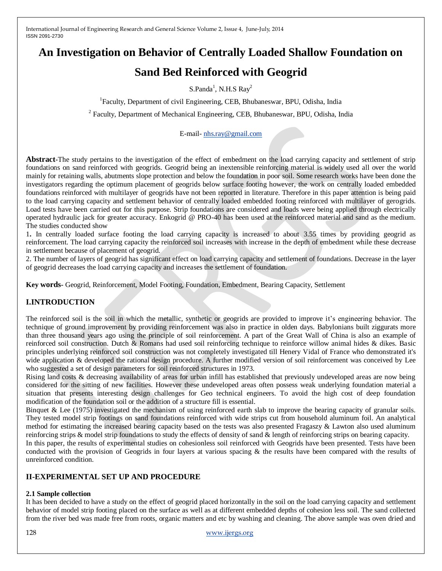# **An Investigation on Behavior of Centrally Loaded Shallow Foundation on**

# **Sand Bed Reinforced with Geogrid**

S.Panda<sup>1</sup>, N.H.S Ray<sup>2</sup>

<sup>1</sup>Faculty, Department of civil Engineering, CEB, Bhubaneswar, BPU, Odisha, India

<sup>2</sup> Faculty, Department of Mechanical Engineering, CEB, Bhubaneswar, BPU, Odisha, India

E-mail- [nhs.ray@gmail.com](mailto:nhs.ray@gmail.com)

**Abstract-**The study pertains to the investigation of the effect of embedment on the load carrying capacity and settlement of strip foundations on sand reinforced with geogrids. Geogrid being an inextensible reinforcing material is widely used all over the world mainly for retaining walls, abutments slope protection and below the foundation in poor soil. Some research works have been done the investigators regarding the optimum placement of geogrids below surface footing however, the work on centrally loaded embedded foundations reinforced with multilayer of geogrids have not been reported in literature. Therefore in this paper attention is being paid to the load carrying capacity and settlement behavior of centrally loaded embedded footing reinforced with multilayer of gerogrids. Load tests have been carried out for this purpose. Strip foundations are considered and loads were being applied through electrically operated hydraulic jack for greater accuracy. Enkogrid @ PRO-40 has been used at the reinforced material and sand as the medium. The studies conducted show

1**.** In centrally loaded surface footing the load carrying capacity is increased to about 3.55 times by providing geogrid as reinforcement. The load carrying capacity the reinforced soil increases with increase in the depth of embedment while these decrease in settlement because of placement of geogrid.

2. The number of layers of geogrid has significant effect on load carrying capacity and settlement of foundations. Decrease in the layer of geogrid decreases the load carrying capacity and increases the settlement of foundation.

**Key words-** Geogrid, Reinforcement, Model Footing, Foundation, Embedment, Bearing Capacity, Settlement

# **I.INTRODUCTION**

The reinforced soil is the soil in which the metallic, synthetic or geogrids are provided to improve it's engineering behavior. The technique of ground improvement by providing reinforcement was also in practice in olden days. Babylonians built ziggurats more than three thousand years ago using the principle of soil reinforcement. A part of the Great Wall of China is also an example of reinforced soil construction. Dutch & Romans had used soil reinforcing technique to reinforce willow animal hides & dikes. Basic principles underlying reinforced soil construction was not completely investigated till Henery Vidal of France who demonstrated it's wide application & developed the rational design procedure. A further modified version of soil reinforcement was conceived by Lee who suggested a set of design parameters for soil reinforced structures in 1973.

Rising land costs & decreasing availability of areas for urban infill has established that previously undeveloped areas are now being considered for the sitting of new facilities. However these undeveloped areas often possess weak underlying foundation material a situation that presents interesting design challenges for Geo technical engineers. To avoid the high cost of deep foundation modification of the foundation soil or the addition of a structure fill is essential.

Binquet & Lee (1975) investigated the mechanism of using reinforced earth slab to improve the bearing capacity of granular soils. They tested model strip footings on sand foundations reinforced with wide strips cut from household aluminum foil. An analytical method for estimating the increased bearing capacity based on the tests was also presented Fragaszy & Lawton also used aluminum reinforcing strips & model strip foundations to study the effects of density of sand & length of reinforcing strips on bearing capacity.

In this paper, the results of experimental studies on cohesionless soil reinforced with Geogrids have been presented. Tests have been conducted with the provision of Geogrids in four layers at various spacing & the results have been compared with the results of unreinforced condition.

# **II-EXPERIMENTAL SET UP AND PROCEDURE**

# **2.1 Sample collection**

It has been decided to have a study on the effect of geogrid placed horizontally in the soil on the load carrying capacity and settlement behavior of model strip footing placed on the surface as well as at different embedded depths of cohesion less soil. The sand collected from the river bed was made free from roots, organic matters and etc by washing and cleaning. The above sample was oven dried and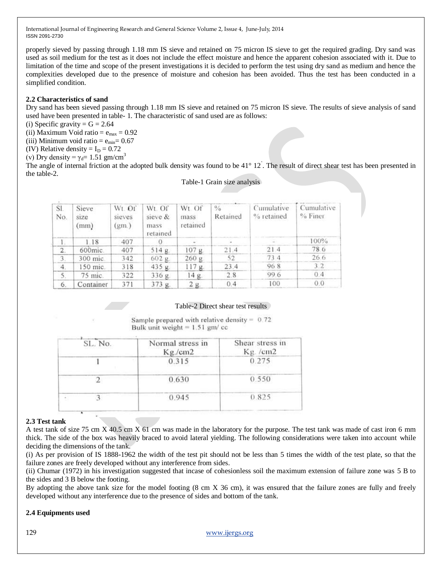properly sieved by passing through 1.18 mm IS sieve and retained on 75 micron IS sieve to get the required grading. Dry sand was used as soil medium for the test as it does not include the effect moisture and hence the apparent cohesion associated with it. Due to limitation of the time and scope of the present investigations it is decided to perform the test using dry sand as medium and hence the complexities developed due to the presence of moisture and cohesion has been avoided. Thus the test has been conducted in a simplified condition.

# **2.2 Characteristics of sand**

Dry sand has been sieved passing through 1.18 mm IS sieve and retained on 75 micron IS sieve. The results of sieve analysis of sand used have been presented in table- 1. The characteristic of sand used are as follows:

(i) Specific gravity  $= G = 2.64$ 

(ii) Maximum Void ratio =  $e_{max}$  = 0.92

(iii) Minimum void ratio =  $e_{min} = 0.67$ 

(IV) Relative density  $= I_D = 0.72$ 

(v) Dry density =  $\gamma_d$ = 1.51 gm/cm<sup>3</sup>

The angle of internal friction at the adopted bulk density was found to be 41° 12. The result of direct shear test has been presented in the table-2.

### Table-1 Grain size analysis

| SI.<br>No.       | Sieve<br>size<br>(mm) | Wt. Of<br>sieves<br>(gm) | Wt. Of<br>sieve &<br>mass<br>retained | Wt Of<br>mass<br>retained | $\frac{0}{0}$<br>Retained | Cumulative<br>% retained | Cumulative<br>% Finer |
|------------------|-----------------------|--------------------------|---------------------------------------|---------------------------|---------------------------|--------------------------|-----------------------|
|                  | 1.18                  | 407                      |                                       |                           |                           |                          | $100\%$               |
| 2.               | 600mic.               | 407                      | 514 g.                                | 107 g.                    | 21.4                      | 21.4                     | 78.6                  |
| 3.               | 300 mic.              | 342                      | 602 g.                                | 260 g                     | 52                        | 73.4                     | 26.6                  |
| $\overline{4}$ . | 150 mic.              | 318                      | 435 g.                                | $117g$ .                  | 23.4                      | 968                      | 3.2                   |
| 5.               | 75 mic.               | 322                      | 336 g.                                | 14 g.                     | 2.8                       | 99.6                     | 0.4                   |
| 6.               | Container             | 371                      | 373 g.                                | 2 <sub>g</sub>            | 0.4                       | 100                      | 0.0                   |

# Table-2 Direct shear test results

Sample prepared with relative density =  $0.72$ Bulk unit weight =  $1.51$  gm/ cc

| SL. No. | Normal stress in<br>Kg./cm2 | Shear stress in<br>$Kg$ . /cm2 |  |
|---------|-----------------------------|--------------------------------|--|
|         | 0.315                       | 0.275                          |  |
|         | 0.630                       | 0.550                          |  |
|         | 0.945                       | 0.825                          |  |

# **2.3 Test tank**

A test tank of size 75 cm X 40.5 cm X 61 cm was made in the laboratory for the purpose. The test tank was made of cast iron 6 mm thick. The side of the box was heavily braced to avoid lateral yielding. The following considerations were taken into account while deciding the dimensions of the tank.

(i) As per provision of IS 1888-1962 the width of the test pit should not be less than 5 times the width of the test plate, so that the failure zones are freely developed without any interference from sides.

(ii) Chumar (1972) in his investigation suggested that incase of cohesionless soil the maximum extension of failure zone was 5 B to the sides and 3 B below the footing.

By adopting the above tank size for the model footing (8 cm X 36 cm), it was ensured that the failure zones are fully and freely developed without any interference due to the presence of sides and bottom of the tank.

# **2.4 Equipments used**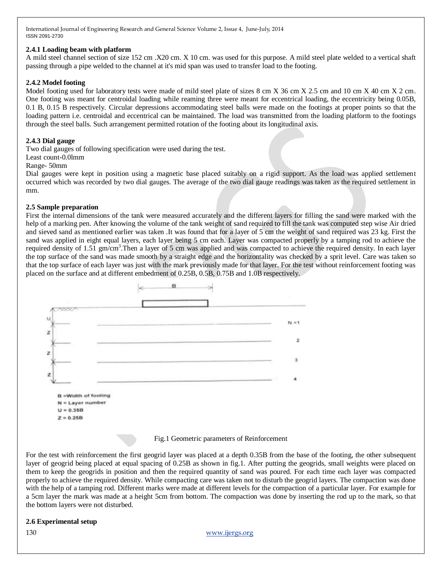## **2.4.1 Loading beam with platform**

A mild steel channel section of size 152 cm .X20 cm. X 10 cm. was used for this purpose. A mild steel plate welded to a vertical shaft passing through a pipe welded to the channel at it's mid span was used to transfer load to the footing.

# **2.4.2 Model footing**

Model footing used for laboratory tests were made of mild steel plate of sizes 8 cm X 36 cm X 2.5 cm and 10 cm X 40 cm X 2 cm. One footing was meant for centroidal loading while reaming three were meant for eccentrical loading, the eccentricity being 0.05B, 0.1 B, 0.15 B respectively. Circular depressions accommodating steel balls were made on the footings at proper points so that the loading pattern i.e. centroidal and eccentrical can be maintained. The load was transmitted from the loading platform to the footings through the steel balls. Such arrangement permitted rotation of the footing about its longitudinal axis.

## **2.4.3 Dial gauge**

Two dial gauges of following specification were used during the test.

### Least count-0.0lmm

Range- 50mm

Dial gauges were kept in position using a magnetic base placed suitably on a rigid support. As the load was applied settlement occurred which was recorded by two dial gauges. The average of the two dial gauge readings was taken as the required settlement in mm.

### **2.5 Sample preparation**

First the internal dimensions of the tank were measured accurately and the different layers for filling the sand were marked with the help of a marking pen. After knowing the volume of the tank weight of sand required to fill the tank was computed step wise Air dried and sieved sand as mentioned earlier was taken .It was found that for a layer of 5 cm the weight of sand required was 23 kg. First the sand was applied in eight equal layers, each layer being 5 cm each. Layer was compacted properly by a tamping rod to achieve the required density of 1.51 gm/cm<sup>3</sup>. Then a layer of 5 cm was applied and was compacted to achieve the required density. In each layer the top surface of the sand was made smooth by a straight edge and the horizontality was checked by a sprit level. Care was taken so that the top surface of each layer was just with the mark previously made for that layer. For the test without reinforcement footing was placed on the surface and at different embedment of 0.25B, 0.5B, 0.75B and 1.0B respectively.



### Fig.1 Geometric parameters of Reinforcement

For the test with reinforcement the first geogrid layer was placed at a depth 0.35B from the base of the footing, the other subsequent layer of geogrid being placed at equal spacing of 0.25B as shown in fig.1. After putting the geogrids, small weights were placed on them to keep the geogrids in position and then the required quantity of sand was poured. For each time each layer was compacted properly to achieve the required density. While compacting care was taken not to disturb the geogrid layers. The compaction was done with the help of a tamping rod. Different marks were made at different levels for the compaction of a particular layer. For example for a 5cm layer the mark was made at a height 5cm from bottom. The compaction was done by inserting the rod up to the mark, so that the bottom layers were not disturbed.

### **2.6 Experimental setup**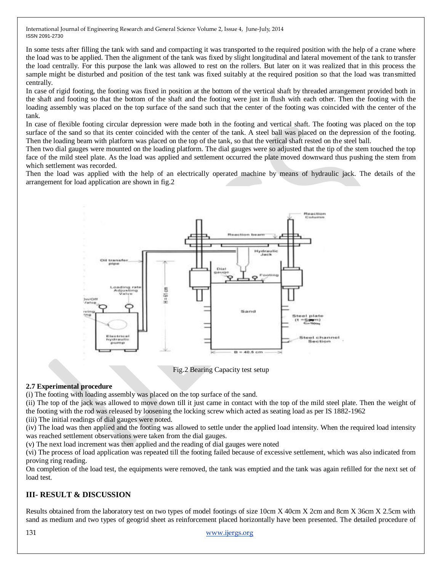In some tests after filling the tank with sand and compacting it was transported to the required position with the help of a crane where the load was to be applied. Then the alignment of the tank was fixed by slight longitudinal and lateral movement of the tank to transfer the load centrally. For this purpose the lank was allowed to rest on the rollers. But later on it was realized that in this process the sample might be disturbed and position of the test tank was fixed suitably at the required position so that the load was transmitted centrally.

In case of rigid footing, the footing was fixed in position at the bottom of the vertical shaft by threaded arrangement provided both in the shaft and footing so that the bottom of the shaft and the footing were just in flush with each other. Then the footing with the loading assembly was placed on the top surface of the sand such that the center of the footing was coincided with the center of the tank.

In case of flexible footing circular depression were made both in the footing and vertical shaft. The footing was placed on the top surface of the sand so that its center coincided with the center of the tank. A steel ball was placed on the depression of the footing. Then the loading beam with platform was placed on the top of the tank, so that the vertical shaft rested on the steel ball.

Then two dial gauges were mounted on the loading platform. The dial gauges were so adjusted that the tip of the stem touched the top face of the mild steel plate. As the load was applied and settlement occurred the plate moved downward thus pushing the stem from which settlement was recorded.

Then the load was applied with the help of an electrically operated machine by means of hydraulic jack. The details of the arrangement for load application are shown in fig.2



Fig.2 Bearing Capacity test setup

# **2.7 Experimental procedure**

(i) The footing with loading assembly was placed on the top surface of the sand.

(ii) The top of the jack was allowed to move down till it just came in contact with the top of the mild steel plate. Then the weight of the footing with the rod was released by loosening the locking screw which acted as seating load as per IS 1882-1962

(iii) The initial readings of dial gauges were noted.

(iv) The load was then applied and the footing was allowed to settle under the applied load intensity. When the required load intensity was reached settlement observations were taken from the dial gauges.

(v) The next load increment was then applied and the reading of dial gauges were noted

(vi) The process of load application was repeated till the footing failed because of excessive settlement, which was also indicated from proving ring reading.

On completion of the load test, the equipments were removed, the tank was emptied and the tank was again refilled for the next set of load test.

# **III- RESULT & DISCUSSION**

Results obtained from the laboratory test on two types of model footings of size 10cm X 40cm X 2cm and 8cm X 36cm X 2.5cm with sand as medium and two types of geogrid sheet as reinforcement placed horizontally have been presented. The detailed procedure of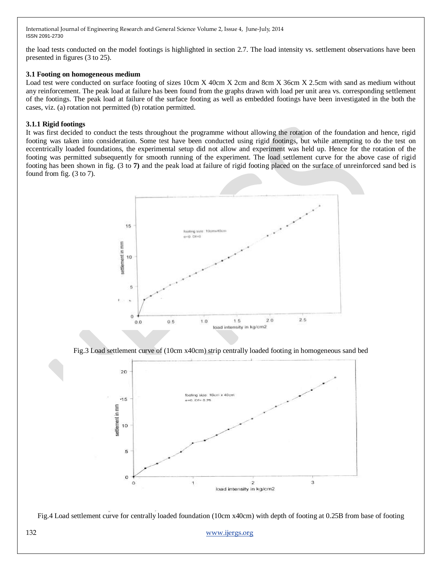the load tests conducted on the model footings is highlighted in section 2.7. The load intensity vs. settlement observations have been presented in figures (3 to 25).

# **3.1 Footing on homogeneous medium**

Load test were conducted on surface footing of sizes 10cm X 40cm X 2cm and 8cm X 36cm X 2.5cm with sand as medium without any reinforcement. The peak load at failure has been found from the graphs drawn with load per unit area vs. corresponding settlement of the footings. The peak load at failure of the surface footing as well as embedded footings have been investigated in the both the cases, viz. (a) rotation not permitted (b) rotation permitted.

# **3.1.1 Rigid footings**

It was first decided to conduct the tests throughout the programme without allowing the rotation of the foundation and hence, rigid footing was taken into consideration. Some test have been conducted using rigid footings, but while attempting to do the test on eccentrically loaded foundations, the experimental setup did not allow and experiment was held up. Hence for the rotation of the footing was permitted subsequently for smooth running of the experiment. The load settlement curve for the above case of rigid footing has been shown in fig. (3 to **7)** and the peak load at failure of rigid footing placed on the surface of unreinforced sand bed is found from fig. (3 to 7).



Fig.3 Load settlement curve of (10cm x40cm) strip centrally loaded footing in homogeneous sand bed



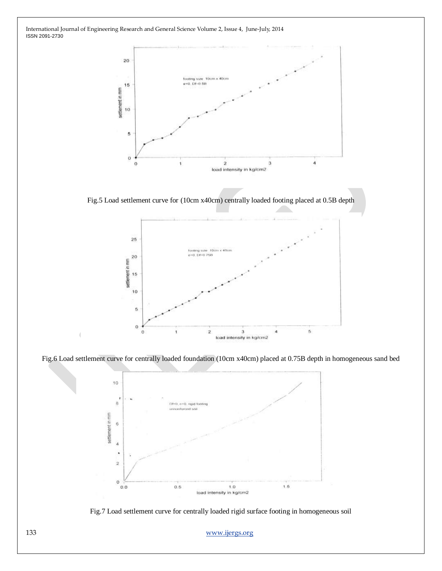

Fig.5 Load settlement curve for (10cm x40cm) centrally loaded footing placed at 0.5B depth







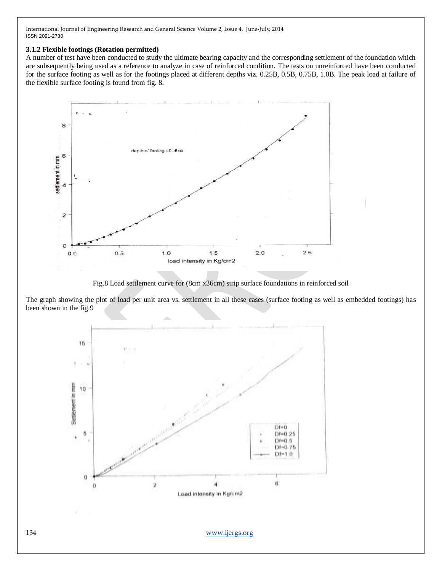# **3.1.2 Flexible footings (Rotation permitted)**

A number of test have been conducted to study the ultimate bearing capacity and the corresponding settlement of the foundation which are subsequently being used as a reference to analyze in case of reinforced condition. The tests on unreinforced have been conducted for the surface footing as well as for the footings placed at different depths viz. 0.25B, 0.5B, 0.75B, 1.0B. The peak load at failure of the flexible surface footing is found from fig. 8.



Fig.8 Load settlement curve for (8cm x36cm) strip surface foundations in reinforced soil

The graph showing the plot of load per unit area vs. settlement in all these cases (surface footing as well as embedded footings) has been shown in the fig.9

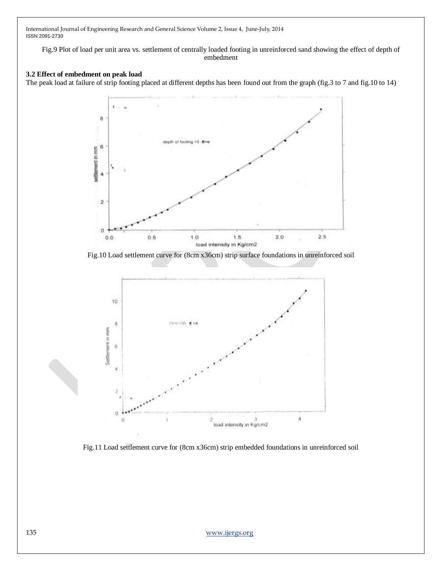Fig.9 Plot of load per unit area vs. settlement of centrally loaded footing in unreinforced sand showing the effect of depth of embedment

# **3.2 Effect of embedment on peak load**

The peak load at failure of strip footing placed at different depths has been found out from the graph (fig.3 to 7 and fig.10 to 14)



Fig.10 Load settlement curve for (8cm x36cm) strip surface foundations in unreinforced soil



Fig.11 Load settlement curve for (8cm x36cm) strip embedded foundations in unreinforced soil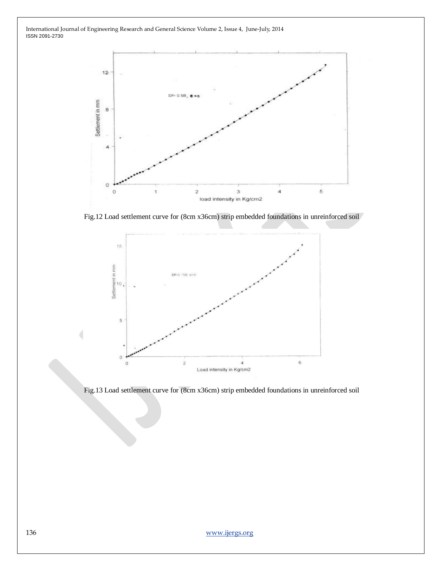

Fig.12 Load settlement curve for (8cm x36cm) strip embedded foundations in unreinforced soil



Fig.13 Load settlement curve for (8cm x36cm) strip embedded foundations in unreinforced soil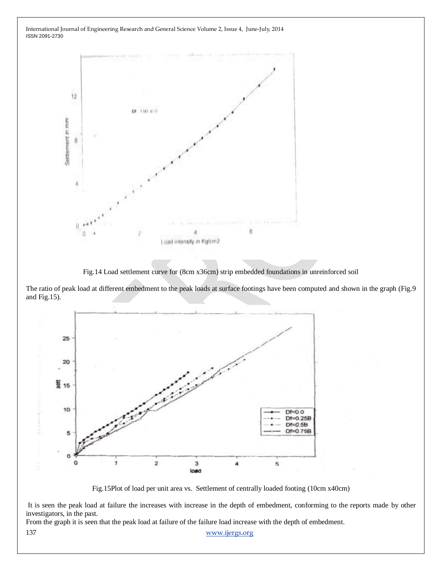

Fig.14 Load settlement curve for (8cm x36cm) strip embedded foundations in unreinforced soil

The ratio of peak load at different embedment to the peak loads at surface footings have been computed and shown in the graph (Fig.9 and Fig.15).



Fig.15Plot of load per unit area vs. Settlement of centrally loaded footing (10cm x40cm)

It is seen the peak load at failure the increases with increase in the depth of embedment, conforming to the reports made by other investigators, in the past.

137 [www.ijergs.org](http://www.ijergs.org/) From the graph it is seen that the peak load at failure of the failure load increase with the depth of embedment.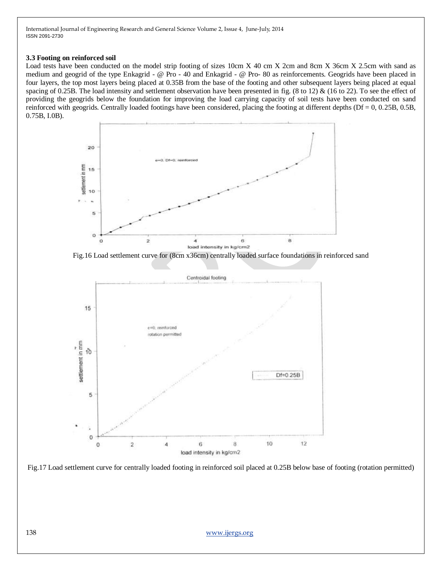## **3.3 Footing on reinforced soil**

Load tests have been conducted on the model strip footing of sizes 10cm X 40 cm X 2cm and 8cm X 36cm X 2.5cm with sand as medium and geogrid of the type Enkagrid - @ Pro - 40 and Enkagrid - @ Pro- 80 as reinforcements. Geogrids have been placed in four layers, the top most layers being placed at 0.35B from the base of the footing and other subsequent layers being placed at equal spacing of 0.25B. The load intensity and settlement observation have been presented in fig. (8 to 12) & (16 to 22). To see the effect of providing the geogrids below the foundation for improving the load carrying capacity of soil tests have been conducted on sand reinforced with geogrids. Centrally loaded footings have been considered, placing the footing at different depths (Df = 0, 0.25B, 0.5B, 0.75B, I.0B).



Fig.16 Load settlement curve for (8cm x36cm) centrally loaded surface foundations in reinforced sand



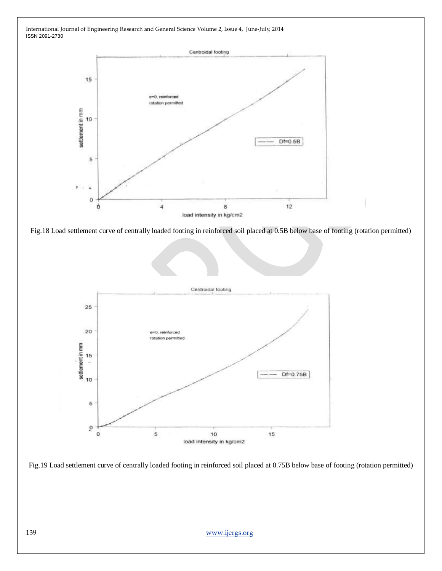

Fig.18 Load settlement curve of centrally loaded footing in reinforced soil placed at 0.5B below base of footing (rotation permitted)



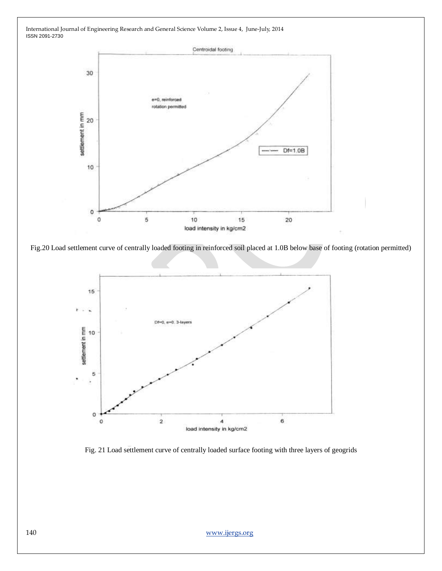



Fig.20 Load settlement curve of centrally loaded footing in reinforced soil placed at 1.0B below base of footing (rotation permitted)



Fig. 21 Load settlement curve of centrally loaded surface footing with three layers of geogrids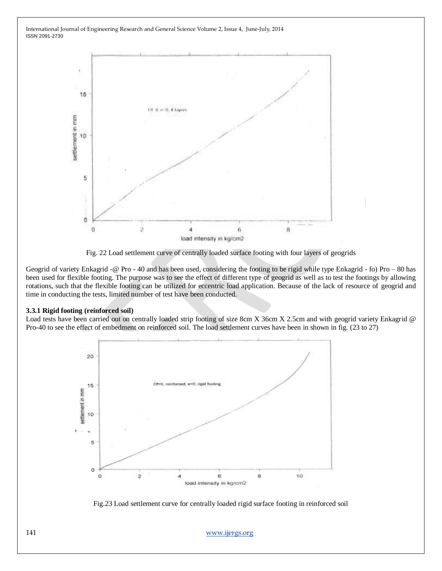

Fig. 22 Load settlement curve of centrally loaded surface footing with four layers of geogrids

Geogrid of variety Enkagrid -@ Pro - 40 and has been used, considering the footing to be rigid while type Enkagrid - fo) Pro – 80 has been used for flexible footing. The purpose was to see the effect of different type of geogrid as well as to test the footings by allowing rotations, such that the flexible footing can be utilized for eccentric load application. Because of the lack of resource of geogrid and time in conducting the tests, limited number of test have been conducted.

### **3.3.1 Rigid footing (reinforced soil)**

Load tests have been carried out on centrally loaded strip footing of size 8cm X 36cm X 2.5cm and with geogrid variety Enkagrid @ Pro-40 to see the effect of embedment on reinforced soil. The load settlement curves have been in shown in fig. (23 to 27)



Fig.23 Load settlement curve for centrally loaded rigid surface footing in reinforced soil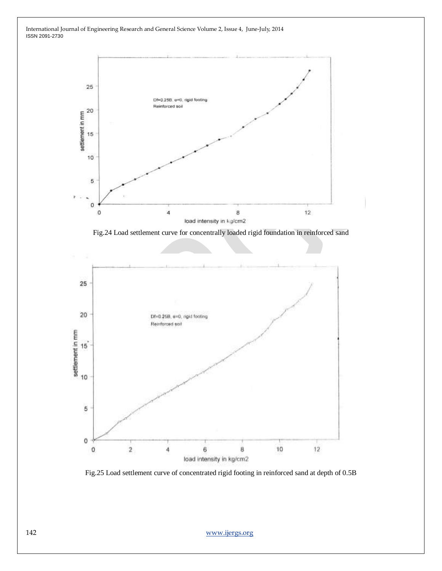

Fig.24 Load settlement curve for concentrally loaded rigid foundation in reinforced sand



Fig.25 Load settlement curve of concentrated rigid footing in reinforced sand at depth of 0.5B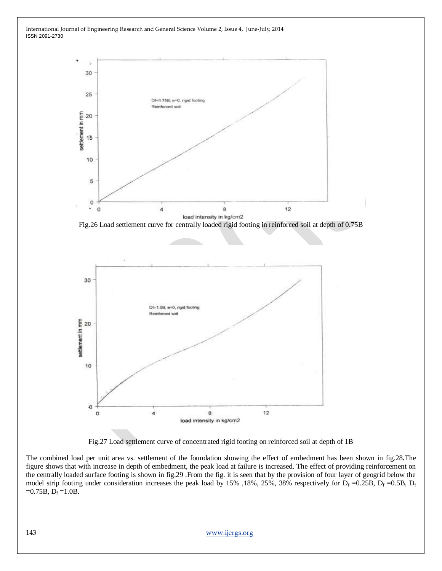

Fig.26 Load settlement curve for centrally loaded rigid footing in reinforced soil at depth of 0.75B



Fig.27 Load settlement curve of concentrated rigid footing on reinforced soil at depth of 1B

The combined load per unit area vs. settlement of the foundation showing the effect of embedment has been shown in fig.28**.**The figure shows that with increase in depth of embedment, the peak load at failure is increased. The effect of providing reinforcement on the centrally loaded surface footing is shown in fig.29 .From the fig. it is seen that by the provision of four layer of geogrid below the model strip footing under consideration increases the peak load by 15%, 18%, 25%, 38% respectively for  $D_f = 0.25B$ ,  $D_f = 0.5B$ ,  $D_f$  $=0.75B, D_f = 1.0B.$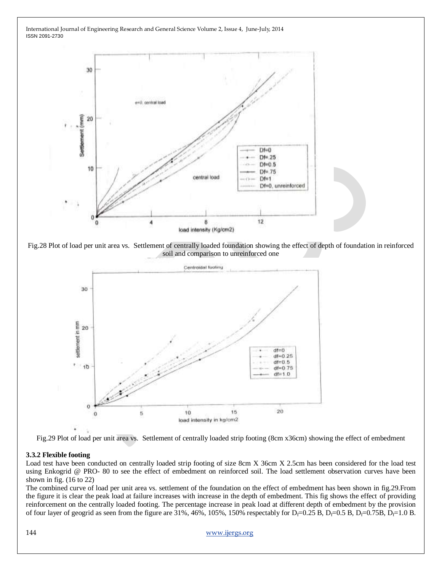

Fig.28 Plot of load per unit area vs. Settlement of centrally loaded foundation showing the effect of depth of foundation in reinforced soil and comparison to unreinforced one





### **3.3.2 Flexible footing**

Load test have been conducted on centrally loaded strip footing of size 8cm X 36cm X 2.5cm has been considered for the load test using Enkogrid @ PRO- 80 to see the effect of embedment on reinforced soil. The load settlement observation curves have been shown in fig. (16 to 22)

The combined curve of load per unit area vs. settlement of the foundation on the effect of embedment has been shown in fig.29.From the figure it is clear the peak load at failure increases with increase in the depth of embedment. This fig shows the effect of providing reinforcement on the centrally loaded footing. The percentage increase in peak load at different depth of embedment by the provision of four layer of geogrid as seen from the figure are 31%, 46%, 105%, 150% respectably for D<sub>f</sub>=0.25 B, D<sub>f</sub>=0.5 B, D<sub>f</sub>=0.75B, D<sub>f</sub>=1.0 B.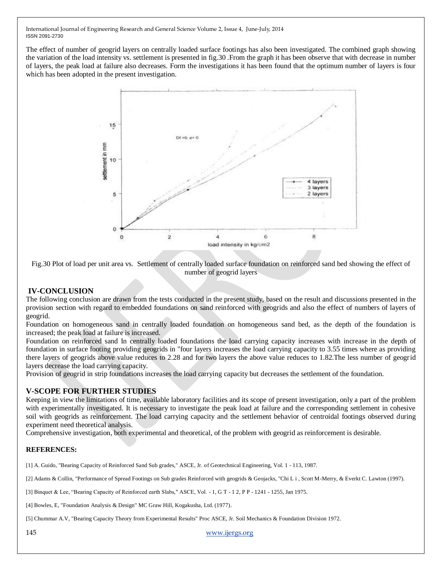The effect of number of geogrid layers on centrally loaded surface footings has also been investigated. The combined graph showing the variation of the load intensity vs. settlement is presented in fig.30 .From the graph it has been observe that with decrease in number of layers, the peak load at failure also decreases. Form the investigations it has been found that the optimum number of layers is four which has been adopted in the present investigation.



Fig.30 Plot of load per unit area vs. Settlement of centrally loaded surface foundation on reinforced sand bed showing the effect of number of geogrid layers

# **IV-CONCLUSION**

The following conclusion are drawn from the tests conducted in the present study, based on the result and discussions presented in the provision section with regard to embedded foundations on sand reinforced with geogrids and also the effect of numbers of layers of geogrid.

Foundation on homogeneous sand in centrally loaded foundation on homogeneous sand bed, as the depth of the foundation is increased; the peak load at failure is increased.

Foundation on reinforced sand In centrally loaded foundations the load carrying capacity increases with increase in the depth of foundation in surface footing providing geogrids in "four layers increases the load carrying capacity to 3.55 times where as providing there layers of geogrids above value reduces to 2.28 and for two layers the above value reduces to 1.82.The less number of geogrid layers decrease the load carrying capacity.

Provision of geogrid in strip foundations increases the load carrying capacity but decreases the settlement of the foundation.

# **V-SCOPE FOR FURTHER STUDIES**

Keeping in view the limitations of time, available laboratory facilities and its scope of present investigation, only a part of the problem with experimentally investigated. It is necessary to investigate the peak load at failure and the corresponding settlement in cohesive soil with geogrids as reinforcement. The load carrying capacity and the settlement behavior of centroidal footings observed during experiment need theoretical analysis.

Comprehensive investigation, both experimental and theoretical, of the problem with geogrid as reinforcement is desirable.

# **REFERENCES:**

[1] A. Guido, "Bearing Capacity of Reinforced Sand Sub grades," ASCE, Jr. of Geotechnical Engineering, Vol. 1 - 113, 1987.

[2] Adams & Collin, "Performance of Spread Footings on Sub grades Reinforced with geogrids & Geojacks, "Chi L i , Scott M-Merry, & Everkt C. Lawton (1997).

[3] Binquet & Lee, "Bearing Capacity of Reinforced earth Slabs," ASCE, Vol. - 1, G T - 1 2, P P - 1241 - 1255, Jan 1975.

[4] Bowles, E, "Foundation Analysis & Design" MC Graw Hill, Kogakusha, Ltd. (1977).

[5] Chummar A.V, "Bearing Capacity Theory from Experimental Results" Proc ASCE, Jr. Soil Mechanics & Foundation Division 1972.